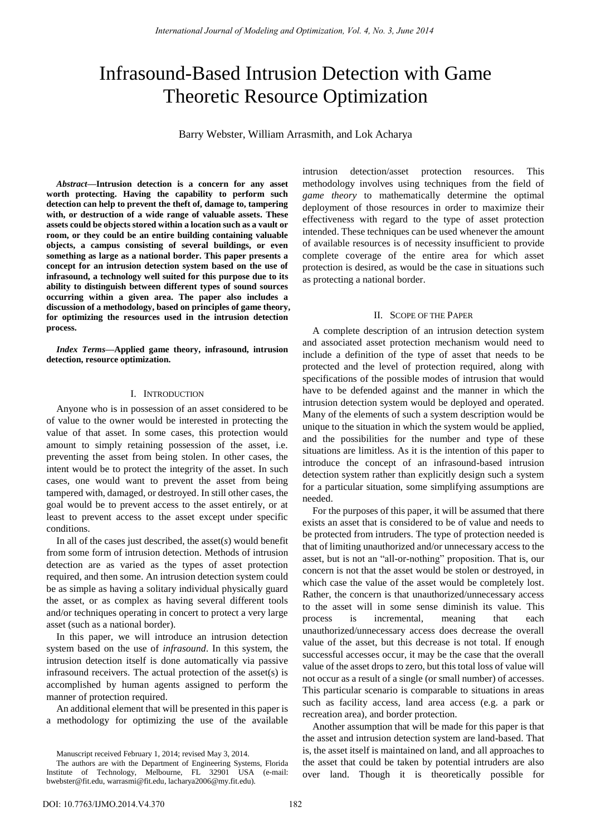# Infrasound-Based Intrusion Detection with Game Theoretic Resource Optimization

Barry Webster, William Arrasmith, and Lok Acharya

*Abstract***—Intrusion detection is a concern for any asset worth protecting. Having the capability to perform such detection can help to prevent the theft of, damage to, tampering with, or destruction of a wide range of valuable assets. These assets could be objects stored within a location such as a vault or room, or they could be an entire building containing valuable objects, a campus consisting of several buildings, or even something as large as a national border. This paper presents a concept for an intrusion detection system based on the use of infrasound, a technology well suited for this purpose due to its ability to distinguish between different types of sound sources occurring within a given area. The paper also includes a discussion of a methodology, based on principles of game theory, for optimizing the resources used in the intrusion detection process.** 

*Index Terms***—Applied game theory, infrasound, intrusion detection, resource optimization.** 

## I. INTRODUCTION

Anyone who is in possession of an asset considered to be of value to the owner would be interested in protecting the value of that asset. In some cases, this protection would amount to simply retaining possession of the asset, i.e. preventing the asset from being stolen. In other cases, the intent would be to protect the integrity of the asset. In such cases, one would want to prevent the asset from being tampered with, damaged, or destroyed. In still other cases, the goal would be to prevent access to the asset entirely, or at least to prevent access to the asset except under specific conditions.

In all of the cases just described, the asset(*s*) would benefit from some form of intrusion detection. Methods of intrusion detection are as varied as the types of asset protection required, and then some. An intrusion detection system could be as simple as having a solitary individual physically guard the asset, or as complex as having several different tools and/or techniques operating in concert to protect a very large asset (such as a national border).

In this paper, we will introduce an intrusion detection system based on the use of *infrasound*. In this system, the intrusion detection itself is done automatically via passive infrasound receivers. The actual protection of the asset(s) is accomplished by human agents assigned to perform the manner of protection required.

An additional element that will be presented in this paper is a methodology for optimizing the use of the available intrusion detection/asset protection resources. This methodology involves using techniques from the field of *game theory* to mathematically determine the optimal deployment of those resources in order to maximize their effectiveness with regard to the type of asset protection intended. These techniques can be used whenever the amount of available resources is of necessity insufficient to provide complete coverage of the entire area for which asset protection is desired, as would be the case in situations such as protecting a national border.

## II. SCOPE OF THE PAPER

A complete description of an intrusion detection system and associated asset protection mechanism would need to include a definition of the type of asset that needs to be protected and the level of protection required, along with specifications of the possible modes of intrusion that would have to be defended against and the manner in which the intrusion detection system would be deployed and operated. Many of the elements of such a system description would be unique to the situation in which the system would be applied, and the possibilities for the number and type of these situations are limitless. As it is the intention of this paper to introduce the concept of an infrasound-based intrusion detection system rather than explicitly design such a system for a particular situation, some simplifying assumptions are needed.

For the purposes of this paper, it will be assumed that there exists an asset that is considered to be of value and needs to be protected from intruders. The type of protection needed is that of limiting unauthorized and/or unnecessary access to the asset, but is not an "all-or-nothing" proposition. That is, our concern is not that the asset would be stolen or destroyed, in which case the value of the asset would be completely lost. Rather, the concern is that unauthorized/unnecessary access to the asset will in some sense diminish its value. This process is incremental, meaning that each unauthorized/unnecessary access does decrease the overall value of the asset, but this decrease is not total. If enough successful accesses occur, it may be the case that the overall value of the asset drops to zero, but this total loss of value will not occur as a result of a single (or small number) of accesses. This particular scenario is comparable to situations in areas such as facility access, land area access (e.g. a park or recreation area), and border protection.

Another assumption that will be made for this paper is that the asset and intrusion detection system are land-based. That is, the asset itself is maintained on land, and all approaches to the asset that could be taken by potential intruders are also over land. Though it is theoretically possible for

Manuscript received February 1, 2014; revised May 3, 2014.

The authors are with the Department of Engineering Systems, Florida Institute of Technology, Melbourne, FL 32901 USA (e-mail: bwebster@fit.edu, warrasmi@fit.edu, lacharya2006@my.fit.edu).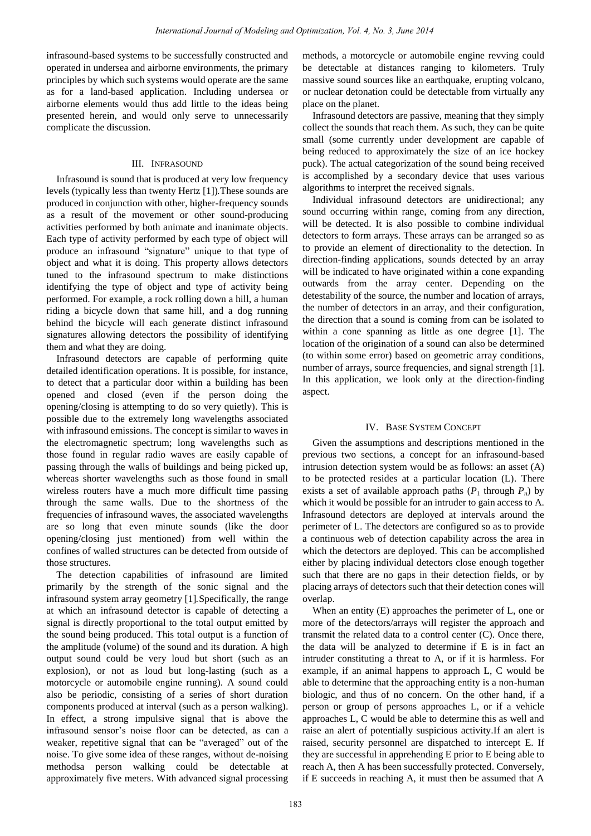infrasound-based systems to be successfully constructed and operated in undersea and airborne environments, the primary principles by which such systems would operate are the same as for a land-based application. Including undersea or airborne elements would thus add little to the ideas being presented herein, and would only serve to unnecessarily complicate the discussion.

## III. INFRASOUND

Infrasound is sound that is produced at very low frequency levels (typically less than twenty Hertz [1]). These sounds are produced in conjunction with other, higher-frequency sounds as a result of the movement or other sound-producing activities performed by both animate and inanimate objects. Each type of activity performed by each type of object will produce an infrasound "signature" unique to that type of object and what it is doing. This property allows detectors tuned to the infrasound spectrum to make distinctions identifying the type of object and type of activity being performed. For example, a rock rolling down a hill, a human riding a bicycle down that same hill, and a dog running behind the bicycle will each generate distinct infrasound signatures allowing detectors the possibility of identifying them and what they are doing.

Infrasound detectors are capable of performing quite detailed identification operations. It is possible, for instance, to detect that a particular door within a building has been opened and closed (even if the person doing the opening/closing is attempting to do so very quietly). This is possible due to the extremely long wavelengths associated with infrasound emissions. The concept is similar to waves in the electromagnetic spectrum; long wavelengths such as those found in regular radio waves are easily capable of passing through the walls of buildings and being picked up, whereas shorter wavelengths such as those found in small wireless routers have a much more difficult time passing through the same walls. Due to the shortness of the frequencies of infrasound waves, the associated wavelengths are so long that even minute sounds (like the door opening/closing just mentioned) from well within the confines of walled structures can be detected from outside of those structures.

The detection capabilities of infrasound are limited primarily by the strength of the sonic signal and the infrasound system array geometry [1]. Specifically, the range at which an infrasound detector is capable of detecting a signal is directly proportional to the total output emitted by the sound being produced. This total output is a function of the amplitude (volume) of the sound and its duration. A high output sound could be very loud but short (such as an explosion), or not as loud but long-lasting (such as a motorcycle or automobile engine running). A sound could also be periodic, consisting of a series of short duration components produced at interval (such as a person walking). In effect, a strong impulsive signal that is above the infrasound sensor's noise floor can be detected, as can a weaker, repetitive signal that can be "averaged" out of the noise. To give some idea of these ranges, without de-noising methodsa person walking could be detectable at approximately five meters. With advanced signal processing

methods, a motorcycle or automobile engine revving could be detectable at distances ranging to kilometers. Truly massive sound sources like an earthquake, erupting volcano, or nuclear detonation could be detectable from virtually any place on the planet.

Infrasound detectors are passive, meaning that they simply collect the sounds that reach them. As such, they can be quite small (some currently under development are capable of being reduced to approximately the size of an ice hockey puck). The actual categorization of the sound being received is accomplished by a secondary device that uses various algorithms to interpret the received signals.

Individual infrasound detectors are unidirectional; any sound occurring within range, coming from any direction, will be detected. It is also possible to combine individual detectors to form arrays. These arrays can be arranged so as to provide an element of directionality to the detection. In direction-finding applications, sounds detected by an array will be indicated to have originated within a cone expanding outwards from the array center. Depending on the detestability of the source, the number and location of arrays, the number of detectors in an array, and their configuration, the direction that a sound is coming from can be isolated to within a cone spanning as little as one degree [1]. The location of the origination of a sound can also be determined (to within some error) based on geometric array conditions, number of arrays, source frequencies, and signal strength [1]. In this application, we look only at the direction-finding aspect.

## IV. BASE SYSTEM CONCEPT

Given the assumptions and descriptions mentioned in the previous two sections, a concept for an infrasound-based intrusion detection system would be as follows: an asset (A) to be protected resides at a particular location (L). There exists a set of available approach paths  $(P_1$  through  $P_n$ ) by which it would be possible for an intruder to gain access to A. Infrasound detectors are deployed at intervals around the perimeter of L. The detectors are configured so as to provide a continuous web of detection capability across the area in which the detectors are deployed. This can be accomplished either by placing individual detectors close enough together such that there are no gaps in their detection fields, or by placing arrays of detectors such that their detection cones will overlap.

When an entity (E) approaches the perimeter of L, one or more of the detectors/arrays will register the approach and transmit the related data to a control center (C). Once there, the data will be analyzed to determine if E is in fact an intruder constituting a threat to A, or if it is harmless. For example, if an animal happens to approach L, C would be able to determine that the approaching entity is a non-human biologic, and thus of no concern. On the other hand, if a person or group of persons approaches L, or if a vehicle approaches L, C would be able to determine this as well and raise an alert of potentially suspicious activity.If an alert is raised, security personnel are dispatched to intercept E. If they are successful in apprehending E prior to E being able to reach A, then A has been successfully protected. Conversely, if E succeeds in reaching A, it must then be assumed that A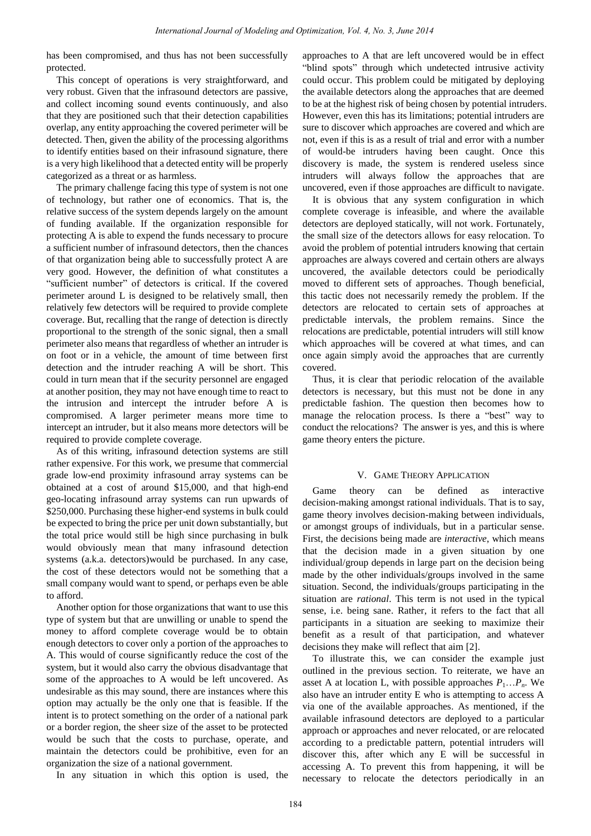has been compromised, and thus has not been successfully protected.

This concept of operations is very straightforward, and very robust. Given that the infrasound detectors are passive, and collect incoming sound events continuously, and also that they are positioned such that their detection capabilities overlap, any entity approaching the covered perimeter will be detected. Then, given the ability of the processing algorithms to identify entities based on their infrasound signature, there is a very high likelihood that a detected entity will be properly categorized as a threat or as harmless.

The primary challenge facing this type of system is not one of technology, but rather one of economics. That is, the relative success of the system depends largely on the amount of funding available. If the organization responsible for protecting A is able to expend the funds necessary to procure a sufficient number of infrasound detectors, then the chances of that organization being able to successfully protect A are very good. However, the definition of what constitutes a "sufficient number" of detectors is critical. If the covered perimeter around L is designed to be relatively small, then relatively few detectors will be required to provide complete coverage. But, recalling that the range of detection is directly proportional to the strength of the sonic signal, then a small perimeter also means that regardless of whether an intruder is on foot or in a vehicle, the amount of time between first detection and the intruder reaching A will be short. This could in turn mean that if the security personnel are engaged at another position, they may not have enough time to react to the intrusion and intercept the intruder before A is compromised. A larger perimeter means more time to intercept an intruder, but it also means more detectors will be required to provide complete coverage.

As of this writing, infrasound detection systems are still rather expensive. For this work, we presume that commercial grade low-end proximity infrasound array systems can be obtained at a cost of around \$15,000, and that high-end geo-locating infrasound array systems can run upwards of \$250,000. Purchasing these higher-end systems in bulk could be expected to bring the price per unit down substantially, but the total price would still be high since purchasing in bulk would obviously mean that many infrasound detection systems (a.k.a. detectors)would be purchased. In any case, the cost of these detectors would not be something that a small company would want to spend, or perhaps even be able to afford.

Another option for those organizations that want to use this type of system but that are unwilling or unable to spend the money to afford complete coverage would be to obtain enough detectors to cover only a portion of the approaches to A. This would of course significantly reduce the cost of the system, but it would also carry the obvious disadvantage that some of the approaches to A would be left uncovered. As undesirable as this may sound, there are instances where this option may actually be the only one that is feasible. If the intent is to protect something on the order of a national park or a border region, the sheer size of the asset to be protected would be such that the costs to purchase, operate, and maintain the detectors could be prohibitive, even for an organization the size of a national government.

In any situation in which this option is used, the

approaches to A that are left uncovered would be in effect "blind spots" through which undetected intrusive activity could occur. This problem could be mitigated by deploying the available detectors along the approaches that are deemed to be at the highest risk of being chosen by potential intruders. However, even this has its limitations; potential intruders are sure to discover which approaches are covered and which are not, even if this is as a result of trial and error with a number of would-be intruders having been caught. Once this discovery is made, the system is rendered useless since intruders will always follow the approaches that are uncovered, even if those approaches are difficult to navigate.

It is obvious that any system configuration in which complete coverage is infeasible, and where the available detectors are deployed statically, will not work. Fortunately, the small size of the detectors allows for easy relocation. To avoid the problem of potential intruders knowing that certain approaches are always covered and certain others are always uncovered, the available detectors could be periodically moved to different sets of approaches. Though beneficial, this tactic does not necessarily remedy the problem. If the detectors are relocated to certain sets of approaches at predictable intervals, the problem remains. Since the relocations are predictable, potential intruders will still know which approaches will be covered at what times, and can once again simply avoid the approaches that are currently covered.

Thus, it is clear that periodic relocation of the available detectors is necessary, but this must not be done in any predictable fashion. The question then becomes how to manage the relocation process. Is there a "best" way to conduct the relocations? The answer is yes, and this is where game theory enters the picture.

### V. GAME THEORY APPLICATION

Game theory can be defined as interactive decision-making amongst rational individuals. That is to say, game theory involves decision-making between individuals, or amongst groups of individuals, but in a particular sense. First, the decisions being made are *interactive*, which means that the decision made in a given situation by one individual/group depends in large part on the decision being made by the other individuals/groups involved in the same situation. Second, the individuals/groups participating in the situation are *rational*. This term is not used in the typical sense, i.e. being sane. Rather, it refers to the fact that all participants in a situation are seeking to maximize their benefit as a result of that participation, and whatever decisions they make will reflect that aim [2].

To illustrate this, we can consider the example just outlined in the previous section. To reiterate, we have an asset A at location L, with possible approaches  $P_1...P_n$ . We also have an intruder entity E who is attempting to access A via one of the available approaches. As mentioned, if the available infrasound detectors are deployed to a particular approach or approaches and never relocated, or are relocated according to a predictable pattern, potential intruders will discover this, after which any E will be successful in accessing A. To prevent this from happening, it will be necessary to relocate the detectors periodically in an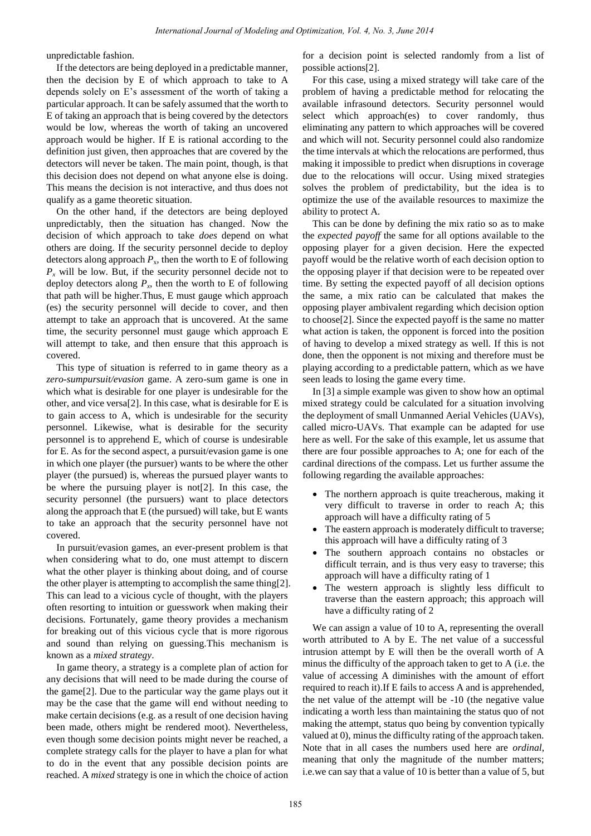unpredictable fashion.

If the detectors are being deployed in a predictable manner, then the decision by E of which approach to take to A depends solely on E's assessment of the worth of taking a particular approach. It can be safely assumed that the worth to E of taking an approach that is being covered by the detectors would be low, whereas the worth of taking an uncovered approach would be higher. If E is rational according to the definition just given, then approaches that are covered by the detectors will never be taken. The main point, though, is that this decision does not depend on what anyone else is doing. This means the decision is not interactive, and thus does not qualify as a game theoretic situation.

On the other hand, if the detectors are being deployed unpredictably, then the situation has changed. Now the decision of which approach to take *does* depend on what others are doing. If the security personnel decide to deploy detectors along approach  $P_x$ , then the worth to E of following  $P<sub>x</sub>$  will be low. But, if the security personnel decide not to deploy detectors along  $P_x$ , then the worth to E of following that path will be higher.Thus, E must gauge which approach (es) the security personnel will decide to cover, and then attempt to take an approach that is uncovered. At the same time, the security personnel must gauge which approach E will attempt to take, and then ensure that this approach is covered.

This type of situation is referred to in game theory as a *zero-sumpursuit/evasion* game. A zero-sum game is one in which what is desirable for one player is undesirable for the other, and vice versa[2]. In this case, what is desirable for E is to gain access to A, which is undesirable for the security personnel. Likewise, what is desirable for the security personnel is to apprehend E, which of course is undesirable for E. As for the second aspect, a pursuit/evasion game is one in which one player (the pursuer) wants to be where the other player (the pursued) is, whereas the pursued player wants to be where the pursuing player is not[2]. In this case, the security personnel (the pursuers) want to place detectors along the approach that E (the pursued) will take, but E wants to take an approach that the security personnel have not covered.

In pursuit/evasion games, an ever-present problem is that when considering what to do, one must attempt to discern what the other player is thinking about doing, and of course the other player is attempting to accomplish the same thing[2]. This can lead to a vicious cycle of thought, with the players often resorting to intuition or guesswork when making their decisions. Fortunately, game theory provides a mechanism for breaking out of this vicious cycle that is more rigorous and sound than relying on guessing.This mechanism is known as a *mixed strategy*.

In game theory, a strategy is a complete plan of action for any decisions that will need to be made during the course of the game[2]. Due to the particular way the game plays out it may be the case that the game will end without needing to make certain decisions (e.g. as a result of one decision having been made, others might be rendered moot). Nevertheless, even though some decision points might never be reached, a complete strategy calls for the player to have a plan for what to do in the event that any possible decision points are reached. A *mixed* strategy is one in which the choice of action for a decision point is selected randomly from a list of possible actions[2].

For this case, using a mixed strategy will take care of the problem of having a predictable method for relocating the available infrasound detectors. Security personnel would select which approach(es) to cover randomly, thus eliminating any pattern to which approaches will be covered and which will not. Security personnel could also randomize the time intervals at which the relocations are performed, thus making it impossible to predict when disruptions in coverage due to the relocations will occur. Using mixed strategies solves the problem of predictability, but the idea is to optimize the use of the available resources to maximize the ability to protect A.

This can be done by defining the mix ratio so as to make the *expected payoff* the same for all options available to the opposing player for a given decision. Here the expected payoff would be the relative worth of each decision option to the opposing player if that decision were to be repeated over time. By setting the expected payoff of all decision options the same, a mix ratio can be calculated that makes the opposing player ambivalent regarding which decision option to choose[2]. Since the expected payoff is the same no matter what action is taken, the opponent is forced into the position of having to develop a mixed strategy as well. If this is not done, then the opponent is not mixing and therefore must be playing according to a predictable pattern, which as we have seen leads to losing the game every time.

In [3] a simple example was given to show how an optimal mixed strategy could be calculated for a situation involving the deployment of small Unmanned Aerial Vehicles (UAVs), called micro-UAVs. That example can be adapted for use here as well. For the sake of this example, let us assume that there are four possible approaches to A; one for each of the cardinal directions of the compass. Let us further assume the following regarding the available approaches:

- The northern approach is quite treacherous, making it very difficult to traverse in order to reach A; this approach will have a difficulty rating of 5
- The eastern approach is moderately difficult to traverse; this approach will have a difficulty rating of 3
- The southern approach contains no obstacles or difficult terrain, and is thus very easy to traverse; this approach will have a difficulty rating of 1
- The western approach is slightly less difficult to traverse than the eastern approach; this approach will have a difficulty rating of 2

We can assign a value of 10 to A, representing the overall worth attributed to A by E. The net value of a successful intrusion attempt by E will then be the overall worth of A minus the difficulty of the approach taken to get to A (i.e. the value of accessing A diminishes with the amount of effort required to reach it).If E fails to access A and is apprehended, the net value of the attempt will be -10 (the negative value indicating a worth less than maintaining the status quo of not making the attempt, status quo being by convention typically valued at 0), minus the difficulty rating of the approach taken. Note that in all cases the numbers used here are *ordinal*, meaning that only the magnitude of the number matters; i.e.we can say that a value of 10 is better than a value of 5, but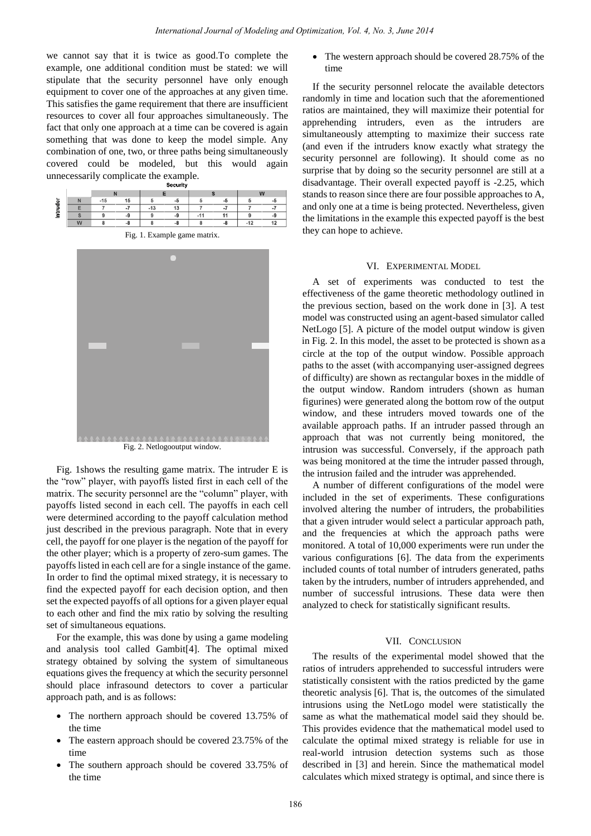we cannot say that it is twice as good.To complete the example, one additional condition must be stated: we will stipulate that the security personnel have only enough equipment to cover one of the approaches at any given time. This satisfies the game requirement that there are insufficient resources to cover all four approaches simultaneously. The fact that only one approach at a time can be covered is again something that was done to keep the model simple. Any combination of one, two, or three paths being simultaneously covered could be modeled, but this would again unnecessarily complicate the example.

|                     |   |       |      |       |    |  |                  | W |          |
|---------------------|---|-------|------|-------|----|--|------------------|---|----------|
| $\overline{a}$<br>÷ |   | $-15$ | 15   |       | -0 |  |                  |   |          |
|                     |   |       |      | $-13$ | 13 |  | $\sim$ $\lambda$ |   | $\sim$ 4 |
|                     |   |       | $-a$ |       | -9 |  |                  |   | -9       |
|                     | W |       | -2   |       |    |  |                  | ۰ | 12       |
|                     |   |       |      |       |    |  |                  |   |          |

|  |  | Fig. 1. Example game matrix. |  |  |
|--|--|------------------------------|--|--|
|--|--|------------------------------|--|--|



Fig. 2. Netlogooutput window.

Fig. 1shows the resulting game matrix. The intruder E is the "row" player, with payoffs listed first in each cell of the matrix. The security personnel are the "column" player, with payoffs listed second in each cell. The payoffs in each cell were determined according to the payoff calculation method just described in the previous paragraph. Note that in every cell, the payoff for one player is the negation of the payoff for the other player; which is a property of zero-sum games. The payoffs listed in each cell are for a single instance of the game. In order to find the optimal mixed strategy, it is necessary to find the expected payoff for each decision option, and then set the expected payoffs of all options for a given player equal to each other and find the mix ratio by solving the resulting set of simultaneous equations.

For the example, this was done by using a game modeling and analysis tool called Gambit[4]. The optimal mixed strategy obtained by solving the system of simultaneous equations gives the frequency at which the security personnel should place infrasound detectors to cover a particular approach path, and is as follows:

- The northern approach should be covered 13.75% of the time
- The eastern approach should be covered 23.75% of the time
- The southern approach should be covered 33.75% of the time

• The western approach should be covered 28.75% of the time

If the security personnel relocate the available detectors randomly in time and location such that the aforementioned ratios are maintained, they will maximize their potential for apprehending intruders, even as the intruders are simultaneously attempting to maximize their success rate (and even if the intruders know exactly what strategy the security personnel are following). It should come as no surprise that by doing so the security personnel are still at a disadvantage. Their overall expected payoff is -2.25, which stands to reason since there are four possible approaches to A, and only one at a time is being protected. Nevertheless, given the limitations in the example this expected payoff is the best they can hope to achieve.

## VI. EXPERIMENTAL MODEL

A set of experiments was conducted to test the effectiveness of the game theoretic methodology outlined in the previous section, based on the work done in [3]. A test model was constructed using an agent-based simulator called NetLogo [5]. A picture of the model output window is given in Fig. 2. In this model, the asset to be protected is shown as a circle at the top of the output window. Possible approach paths to the asset (with accompanying user-assigned degrees of difficulty) are shown as rectangular boxes in the middle of the output window. Random intruders (shown as human figurines) were generated along the bottom row of the output window, and these intruders moved towards one of the available approach paths. If an intruder passed through an approach that was not currently being monitored, the intrusion was successful. Conversely, if the approach path was being monitored at the time the intruder passed through, the intrusion failed and the intruder was apprehended.

A number of different configurations of the model were included in the set of experiments. These configurations involved altering the number of intruders, the probabilities that a given intruder would select a particular approach path, and the frequencies at which the approach paths were monitored. A total of 10,000 experiments were run under the various configurations [6]. The data from the experiments included counts of total number of intruders generated, paths taken by the intruders, number of intruders apprehended, and number of successful intrusions. These data were then analyzed to check for statistically significant results.

#### VII. CONCLUSION

The results of the experimental model showed that the ratios of intruders apprehended to successful intruders were statistically consistent with the ratios predicted by the game theoretic analysis [6]. That is, the outcomes of the simulated intrusions using the NetLogo model were statistically the same as what the mathematical model said they should be. This provides evidence that the mathematical model used to calculate the optimal mixed strategy is reliable for use in real-world intrusion detection systems such as those described in [3] and herein. Since the mathematical model calculates which mixed strategy is optimal, and since there is